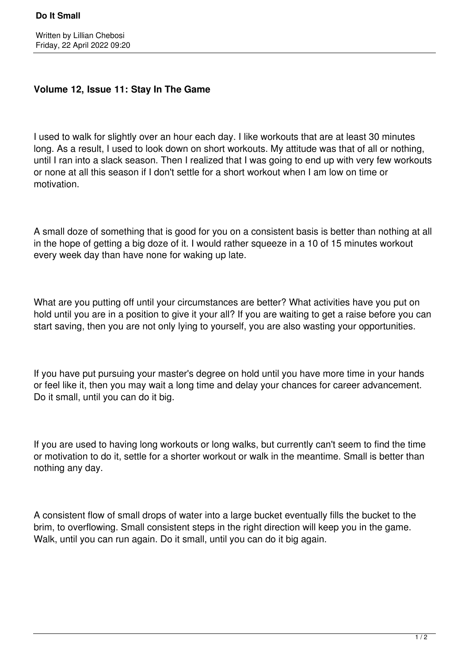## **Volume 12, Issue 11: Stay In The Game**

I used to walk for slightly over an hour each day. I like workouts that are at least 30 minutes long. As a result, I used to look down on short workouts. My attitude was that of all or nothing, until I ran into a slack season. Then I realized that I was going to end up with very few workouts or none at all this season if I don't settle for a short workout when I am low on time or motivation.

A small doze of something that is good for you on a consistent basis is better than nothing at all in the hope of getting a big doze of it. I would rather squeeze in a 10 of 15 minutes workout every week day than have none for waking up late.

What are you putting off until your circumstances are better? What activities have you put on hold until you are in a position to give it your all? If you are waiting to get a raise before you can start saving, then you are not only lying to yourself, you are also wasting your opportunities.

If you have put pursuing your master's degree on hold until you have more time in your hands or feel like it, then you may wait a long time and delay your chances for career advancement. Do it small, until you can do it big.

If you are used to having long workouts or long walks, but currently can't seem to find the time or motivation to do it, settle for a shorter workout or walk in the meantime. Small is better than nothing any day.

A consistent flow of small drops of water into a large bucket eventually fills the bucket to the brim, to overflowing. Small consistent steps in the right direction will keep you in the game. Walk, until you can run again. Do it small, until you can do it big again.